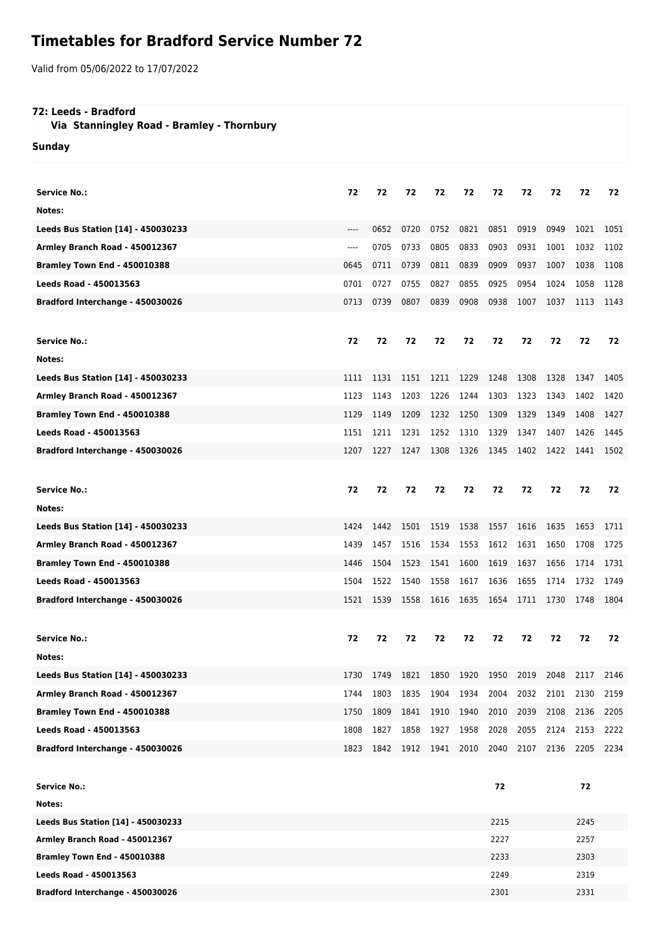## **Timetables for Bradford Service Number 72**

Valid from 05/06/2022 to 17/07/2022

## **72: Leeds - Bradford**

 **Via Stanningley Road - Bramley - Thornbury**

**Sunday**

| <b>Service No.:</b>                 | 72   | 72   | 72        | 72   | 72   | 72   | 72   | 72   | 72   | 72   |
|-------------------------------------|------|------|-----------|------|------|------|------|------|------|------|
| Notes:                              |      |      |           |      |      |      |      |      |      |      |
| Leeds Bus Station [14] - 450030233  | ---- | 0652 | 0720      | 0752 | 0821 | 0851 | 0919 | 0949 | 1021 | 1051 |
| Armley Branch Road - 450012367      | ---- | 0705 | 0733      | 0805 | 0833 | 0903 | 0931 | 1001 | 1032 | 1102 |
| <b>Bramley Town End - 450010388</b> | 0645 | 0711 | 0739      | 0811 | 0839 | 0909 | 0937 | 1007 | 1038 | 1108 |
| <b>Leeds Road - 450013563</b>       | 0701 | 0727 | 0755      | 0827 | 0855 | 0925 | 0954 | 1024 | 1058 | 1128 |
| Bradford Interchange - 450030026    | 0713 | 0739 | 0807      | 0839 | 0908 | 0938 | 1007 | 1037 | 1113 | 1143 |
|                                     |      |      |           |      |      |      |      |      |      |      |
| <b>Service No.:</b>                 | 72   | 72   | 72        | 72   | 72   | 72   | 72   | 72   | 72   | 72   |
| Notes:                              |      |      |           |      |      |      |      |      |      |      |
| Leeds Bus Station [14] - 450030233  | 1111 | 1131 | 1151      | 1211 | 1229 | 1248 | 1308 | 1328 | 1347 | 1405 |
| Armley Branch Road - 450012367      | 1123 | 1143 | 1203      | 1226 | 1244 | 1303 | 1323 | 1343 | 1402 | 1420 |
| <b>Bramley Town End - 450010388</b> | 1129 | 1149 | 1209      | 1232 | 1250 | 1309 | 1329 | 1349 | 1408 | 1427 |
| Leeds Road - 450013563              | 1151 | 1211 | 1231      | 1252 | 1310 | 1329 | 1347 | 1407 | 1426 | 1445 |
| Bradford Interchange - 450030026    | 1207 | 1227 | 1247      | 1308 | 1326 | 1345 | 1402 | 1422 | 1441 | 1502 |
|                                     |      |      |           |      |      |      |      |      |      |      |
|                                     |      |      |           |      |      |      |      |      |      |      |
| <b>Service No.:</b>                 | 72   | 72   | 72        | 72   | 72   | 72   | 72   | 72   | 72   | 72   |
| Notes:                              |      |      |           |      |      |      |      |      |      |      |
| Leeds Bus Station [14] - 450030233  | 1424 | 1442 | 1501      | 1519 | 1538 | 1557 | 1616 | 1635 | 1653 | 1711 |
| Armley Branch Road - 450012367      | 1439 | 1457 | 1516      | 1534 | 1553 | 1612 | 1631 | 1650 | 1708 | 1725 |
| <b>Bramley Town End - 450010388</b> | 1446 | 1504 | 1523      | 1541 | 1600 | 1619 | 1637 | 1656 | 1714 | 1731 |
| <b>Leeds Road - 450013563</b>       | 1504 | 1522 | 1540      | 1558 | 1617 | 1636 | 1655 | 1714 | 1732 | 1749 |
| Bradford Interchange - 450030026    | 1521 | 1539 | 1558      | 1616 | 1635 | 1654 | 1711 | 1730 | 1748 | 1804 |
|                                     |      |      |           |      |      |      |      |      |      |      |
| <b>Service No.:</b>                 | 72   | 72   | 72        | 72   | 72   | 72   | 72   | 72   | 72   | 72   |
| Notes:                              |      |      |           |      |      |      |      |      |      |      |
| Leeds Bus Station [14] - 450030233  | 1730 | 1749 | 1821      | 1850 | 1920 | 1950 | 2019 | 2048 | 2117 | 2146 |
| Armley Branch Road - 450012367      | 1744 | 1803 | 1835      | 1904 | 1934 | 2004 | 2032 | 2101 | 2130 | 2159 |
| Bramley Town End - 450010388        | 1750 | 1809 | 1841      | 1910 | 1940 | 2010 | 2039 | 2108 | 2136 | 2205 |
| <b>Leeds Road - 450013563</b>       | 1808 | 1827 | 1858      | 1927 | 1958 | 2028 | 2055 | 2124 | 2153 | 2222 |
| Bradford Interchange - 450030026    | 1823 | 1842 | 1912 1941 |      | 2010 | 2040 | 2107 | 2136 | 2205 | 2234 |
|                                     |      |      |           |      |      |      |      |      |      |      |

| Service No.:                       | 72   | 74   |
|------------------------------------|------|------|
| Notes:                             |      |      |
| Leeds Bus Station [14] - 450030233 | 2215 | 2245 |
| Armley Branch Road - 450012367     | 2227 | 2257 |
| Bramley Town End - 450010388       | 2233 | 2303 |
| Leeds Road - 450013563             | 2249 | 2319 |
| Bradford Interchange - 450030026   | 2301 | 2331 |